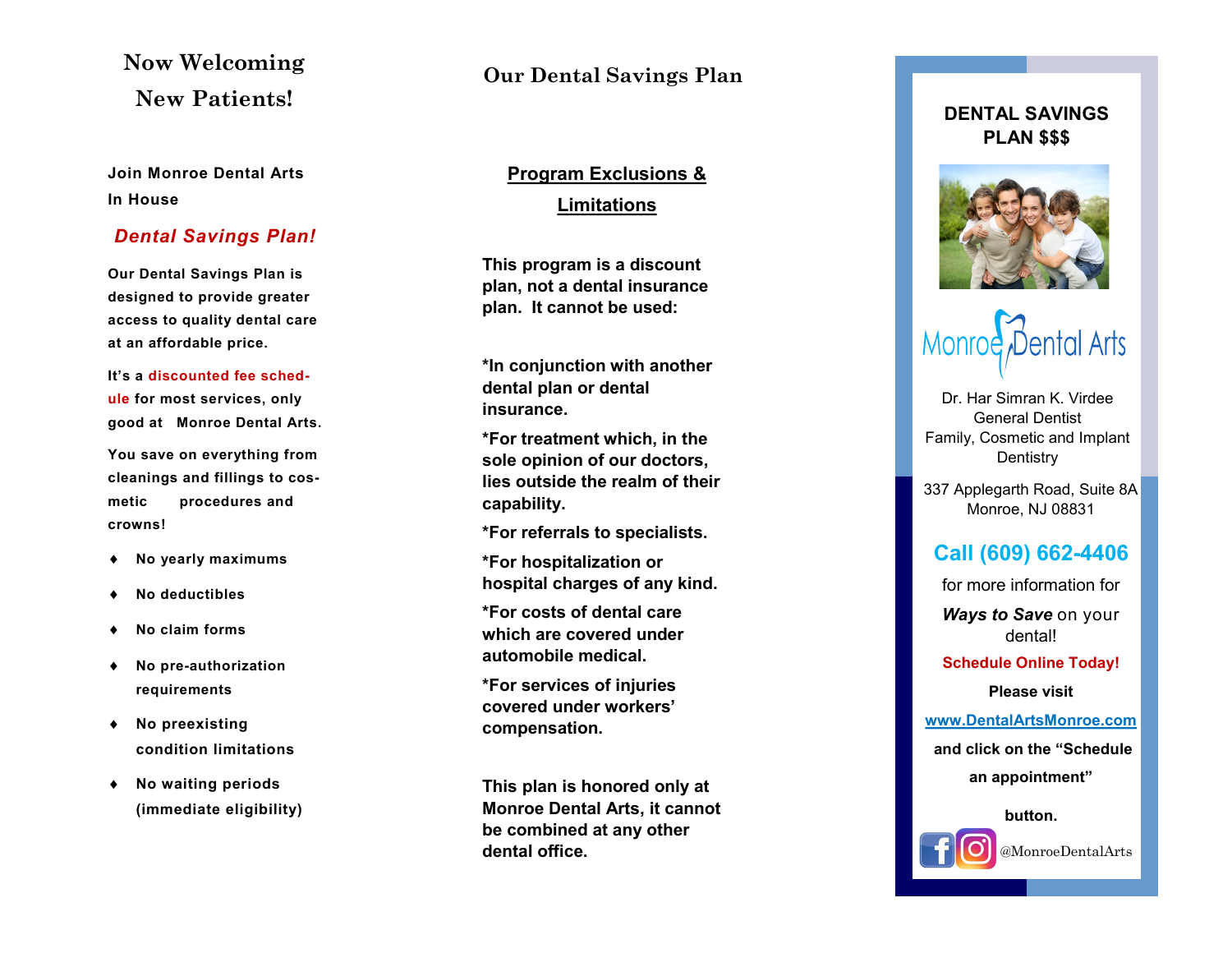# **Now Welcoming New Patients!**

**Join Monroe Dental Arts In House** 

### *Dental Savings Plan!*

**Our Dental Savings Plan is designed to provide greater access to quality dental care at an affordable price.**

**It's a discounted fee schedule for most services, only good at Monroe Dental Arts.**

**You save on everything from cleanings and fillings to cosmetic procedures and crowns!**

- **No yearly maximums**
- **No deductibles**
- **No claim forms**
- **No pre-authorization requirements**
- **No preexisting condition limitations**
- **No waiting periods (immediate eligibility)**

## **Our Dental Savings Plan**

# **Program Exclusions & Limitations**

**This program is a discount plan, not a dental insurance plan. It cannot be used:** 

**\*In conjunction with another dental plan or dental insurance.**

**\*For treatment which, in the sole opinion of our doctors, lies outside the realm of their capability.**

**\*For referrals to specialists.**

**\*For hospitalization or hospital charges of any kind.**

**\*For costs of dental care which are covered under automobile medical.**

**\*For services of injuries covered under workers' compensation.**

**This plan is honored only at Monroe Dental Arts, it cannot be combined at any other dental office.**

### **DENTAL SAVINGS PLAN \$\$\$**



# Monroe Dental Arts

Dr. Har Simran K. Virdee General Dentist Family, Cosmetic and Implant **Dentistry** 

337 Applegarth Road, Suite 8A Monroe, NJ 08831

## **Call (609) 662 -4406**

for more information for

*Ways to Save* on your dental!

**Schedule Online Today!** 

**Please visit** 

**[www.DentalArtsMonroe.com](http://www.dentalartsmonroe.com/) and click on the "Schedule an appointment"** 

**button.**



@MonroeDentalArts